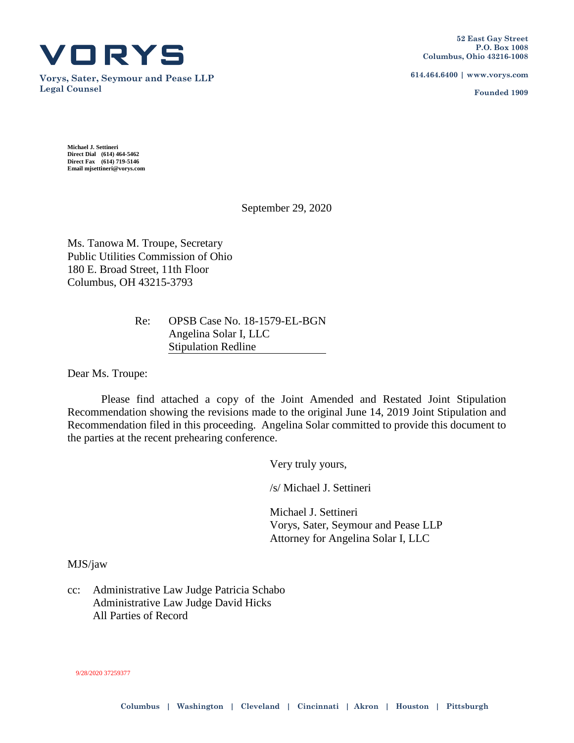

**Vorys, Sater, Seymour and Pease LLP Legal Counsel**

**614.464.6400 | www.vorys.com**

**Founded 1909**

**Michael J. Settineri Direct Dial (614) 464-5462 Direct Fax (614) 719-5146 Email mjsettineri@vorys.com** 

September 29, 2020

Ms. Tanowa M. Troupe, Secretary Public Utilities Commission of Ohio 180 E. Broad Street, 11th Floor Columbus, OH 43215-3793

# Re: OPSB Case No. 18-1579-EL-BGN Angelina Solar I, LLC Stipulation Redline

Dear Ms. Troupe:

Please find attached a copy of the Joint Amended and Restated Joint Stipulation Recommendation showing the revisions made to the original June 14, 2019 Joint Stipulation and Recommendation filed in this proceeding. Angelina Solar committed to provide this document to the parties at the recent prehearing conference.

Very truly yours,

/s/ Michael J. Settineri

Michael J. Settineri Vorys, Sater, Seymour and Pease LLP Attorney for Angelina Solar I, LLC

### MJS/jaw

cc: Administrative Law Judge Patricia Schabo Administrative Law Judge David Hicks All Parties of Record

#### 9/28/2020 37259377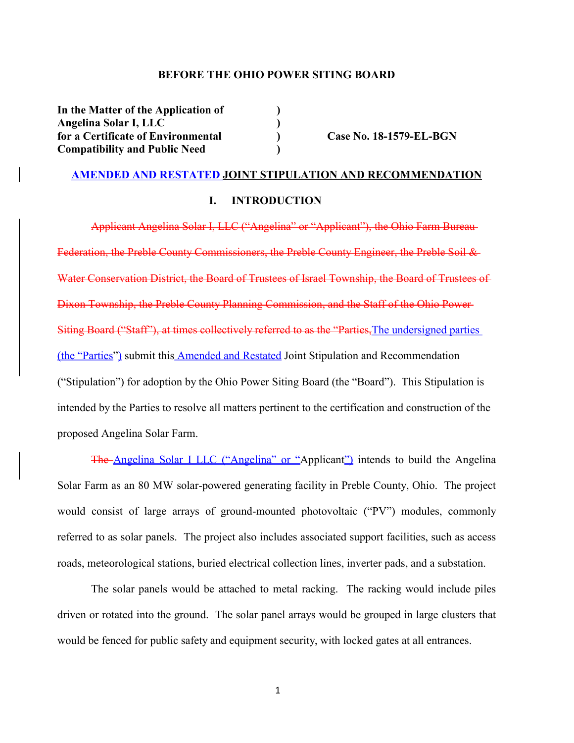### **BEFORE THE OHIO POWER SITING BOARD**

**In the Matter of the Application of ) Angelina Solar I, LLC ) for a Certificate of Environmental ) Case No. 18-1579-EL-BGN Compatibility and Public Need )**

### **AMENDED AND RESTATED JOINT STIPULATION AND RECOMMENDATION**

### **I. INTRODUCTION**

Applicant Angelina Solar I, LLC ("Angelina" or "Applicant"), the Ohio Farm Bureau Federation, the Preble County Commissioners, the Preble County Engineer, the Preble Soil & Water Conservation District, the Board of Trustees of Israel Township, the Board of Trustees of Dixon Township, the Preble County Planning Commission, and the Staff of the Ohio Power Siting Board ("Staff"), at times collectively referred to as the "Parties, The undersigned parties (the "Parties") submit this Amended and Restated Joint Stipulation and Recommendation ("Stipulation") for adoption by the Ohio Power Siting Board (the "Board"). This Stipulation is intended by the Parties to resolve all matters pertinent to the certification and construction of the proposed Angelina Solar Farm.

The Angelina Solar I LLC ("Angelina" or "Applicant") intends to build the Angelina Solar Farm as an 80 MW solar-powered generating facility in Preble County, Ohio. The project would consist of large arrays of ground-mounted photovoltaic ("PV") modules, commonly referred to as solar panels. The project also includes associated support facilities, such as access roads, meteorological stations, buried electrical collection lines, inverter pads, and a substation.

The solar panels would be attached to metal racking. The racking would include piles driven or rotated into the ground. The solar panel arrays would be grouped in large clusters that would be fenced for public safety and equipment security, with locked gates at all entrances.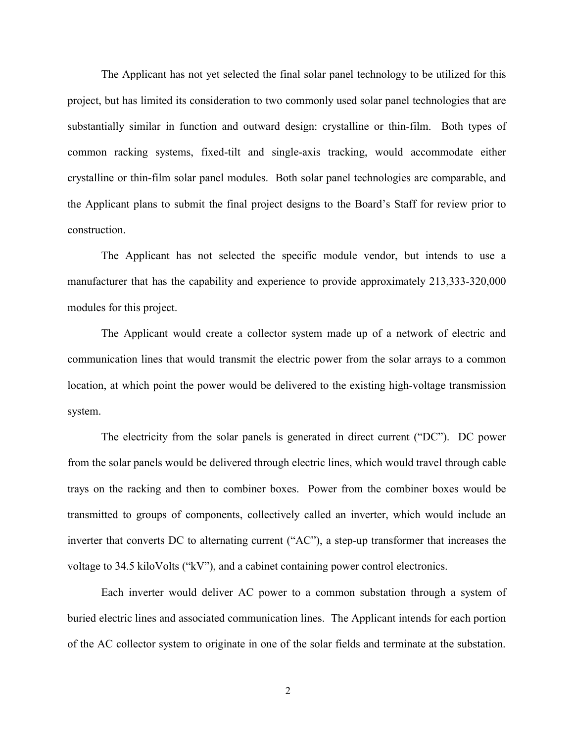The Applicant has not yet selected the final solar panel technology to be utilized for this project, but has limited its consideration to two commonly used solar panel technologies that are substantially similar in function and outward design: crystalline or thin-film. Both types of common racking systems, fixed-tilt and single-axis tracking, would accommodate either crystalline or thin-film solar panel modules. Both solar panel technologies are comparable, and the Applicant plans to submit the final project designs to the Board's Staff for review prior to construction.

The Applicant has not selected the specific module vendor, but intends to use a manufacturer that has the capability and experience to provide approximately 213,333-320,000 modules for this project.

The Applicant would create a collector system made up of a network of electric and communication lines that would transmit the electric power from the solar arrays to a common location, at which point the power would be delivered to the existing high-voltage transmission system.

The electricity from the solar panels is generated in direct current ("DC"). DC power from the solar panels would be delivered through electric lines, which would travel through cable trays on the racking and then to combiner boxes. Power from the combiner boxes would be transmitted to groups of components, collectively called an inverter, which would include an inverter that converts DC to alternating current ("AC"), a step-up transformer that increases the voltage to 34.5 kiloVolts ("kV"), and a cabinet containing power control electronics.

Each inverter would deliver AC power to a common substation through a system of buried electric lines and associated communication lines. The Applicant intends for each portion of the AC collector system to originate in one of the solar fields and terminate at the substation.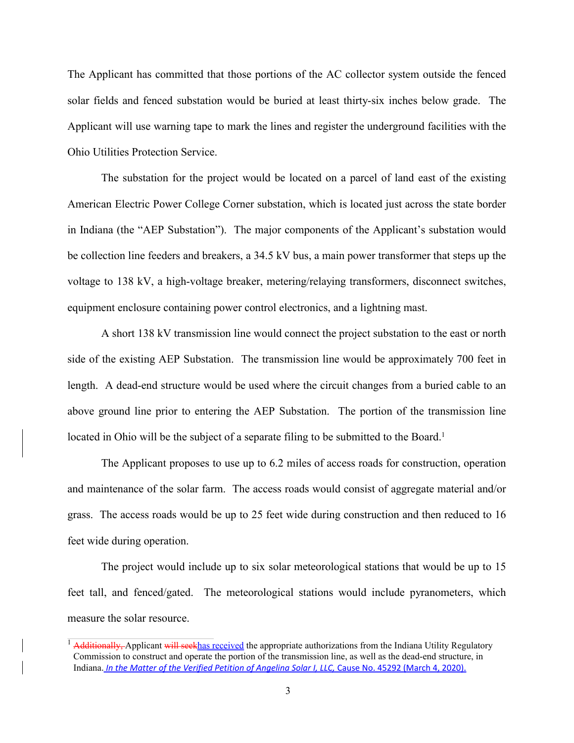The Applicant has committed that those portions of the AC collector system outside the fenced solar fields and fenced substation would be buried at least thirty-six inches below grade. The Applicant will use warning tape to mark the lines and register the underground facilities with the Ohio Utilities Protection Service.

The substation for the project would be located on a parcel of land east of the existing American Electric Power College Corner substation, which is located just across the state border in Indiana (the "AEP Substation"). The major components of the Applicant's substation would be collection line feeders and breakers, a 34.5 kV bus, a main power transformer that steps up the voltage to 138 kV, a high-voltage breaker, metering/relaying transformers, disconnect switches, equipment enclosure containing power control electronics, and a lightning mast.

A short 138 kV transmission line would connect the project substation to the east or north side of the existing AEP Substation. The transmission line would be approximately 700 feet in length. A dead-end structure would be used where the circuit changes from a buried cable to an above ground line prior to entering the AEP Substation. The portion of the transmission line located in Ohio will be the subject of a separate filing to be submitted to the Board.<sup>1</sup>

The Applicant proposes to use up to 6.2 miles of access roads for construction, operation and maintenance of the solar farm. The access roads would consist of aggregate material and/or grass. The access roads would be up to 25 feet wide during construction and then reduced to 16 feet wide during operation.

The project would include up to six solar meteorological stations that would be up to 15 feet tall, and fenced/gated. The meteorological stations would include pyranometers, which measure the solar resource.

<sup>&</sup>lt;sup>1</sup> Additionally, Applicant will seekhas received the appropriate authorizations from the Indiana Utility Regulatory Commission to construct and operate the portion of the transmission line, as well as the dead-end structure, in Indiana. *In the Matter of the Verified Petition of Angelina Solar I, LLC,* Cause No. 45292 (March 4, 2020).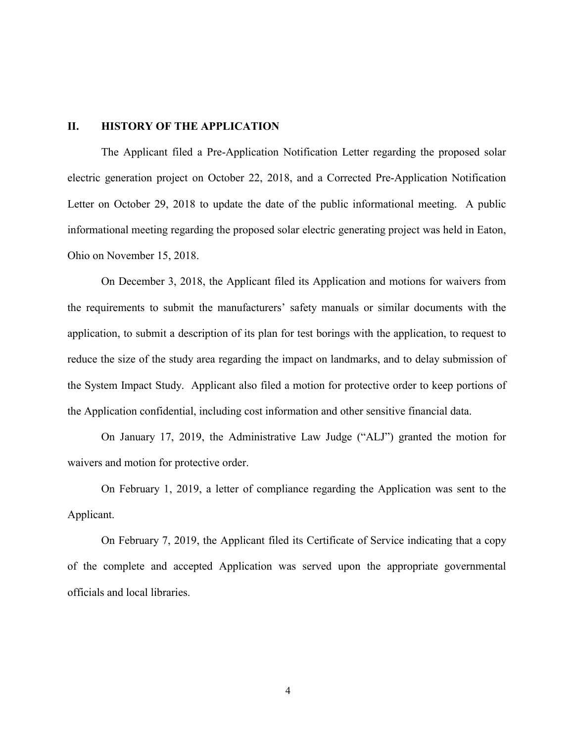# **II. HISTORY OF THE APPLICATION**

The Applicant filed a Pre-Application Notification Letter regarding the proposed solar electric generation project on October 22, 2018, and a Corrected Pre-Application Notification Letter on October 29, 2018 to update the date of the public informational meeting. A public informational meeting regarding the proposed solar electric generating project was held in Eaton, Ohio on November 15, 2018.

On December 3, 2018, the Applicant filed its Application and motions for waivers from the requirements to submit the manufacturers' safety manuals or similar documents with the application, to submit a description of its plan for test borings with the application, to request to reduce the size of the study area regarding the impact on landmarks, and to delay submission of the System Impact Study. Applicant also filed a motion for protective order to keep portions of the Application confidential, including cost information and other sensitive financial data.

On January 17, 2019, the Administrative Law Judge ("ALJ") granted the motion for waivers and motion for protective order.

On February 1, 2019, a letter of compliance regarding the Application was sent to the Applicant.

On February 7, 2019, the Applicant filed its Certificate of Service indicating that a copy of the complete and accepted Application was served upon the appropriate governmental officials and local libraries.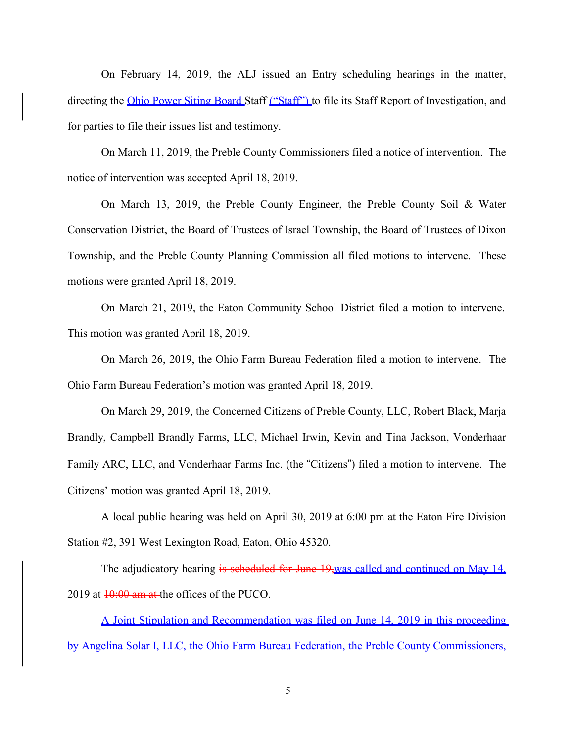On February 14, 2019, the ALJ issued an Entry scheduling hearings in the matter, directing the Ohio Power Siting Board Staff ("Staff") to file its Staff Report of Investigation, and for parties to file their issues list and testimony.

On March 11, 2019, the Preble County Commissioners filed a notice of intervention. The notice of intervention was accepted April 18, 2019.

On March 13, 2019, the Preble County Engineer, the Preble County Soil & Water Conservation District, the Board of Trustees of Israel Township, the Board of Trustees of Dixon Township, and the Preble County Planning Commission all filed motions to intervene. These motions were granted April 18, 2019.

On March 21, 2019, the Eaton Community School District filed a motion to intervene. This motion was granted April 18, 2019.

On March 26, 2019, the Ohio Farm Bureau Federation filed a motion to intervene. The Ohio Farm Bureau Federation's motion was granted April 18, 2019.

On March 29, 2019, the Concerned Citizens of Preble County, LLC, Robert Black, Marja Brandly, Campbell Brandly Farms, LLC, Michael Irwin, Kevin and Tina Jackson, Vonderhaar Family ARC, LLC, and Vonderhaar Farms Inc. (the "Citizens") filed a motion to intervene. The Citizens' motion was granted April 18, 2019.

A local public hearing was held on April 30, 2019 at 6:00 pm at the Eaton Fire Division Station #2, 391 West Lexington Road, Eaton, Ohio 45320.

The adjudicatory hearing is scheduled for June 19, was called and continued on May 14, 2019 at  $10:00$  am at the offices of the PUCO.

A Joint Stipulation and Recommendation was filed on June 14, 2019 in this proceeding by Angelina Solar I, LLC, the Ohio Farm Bureau Federation, the Preble County Commissioners,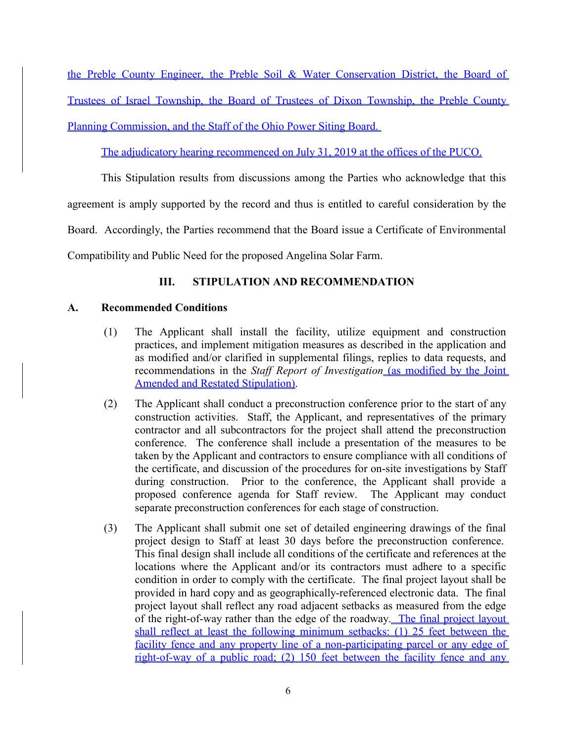the Preble County Engineer, the Preble Soil & Water Conservation District, the Board of Trustees of Israel Township, the Board of Trustees of Dixon Township, the Preble County Planning Commission, and the Staff of the Ohio Power Siting Board.

The adjudicatory hearing recommenced on July 31, 2019 at the offices of the PUCO.

This Stipulation results from discussions among the Parties who acknowledge that this

agreement is amply supported by the record and thus is entitled to careful consideration by the

Board. Accordingly, the Parties recommend that the Board issue a Certificate of Environmental

Compatibility and Public Need for the proposed Angelina Solar Farm.

# **III. STIPULATION AND RECOMMENDATION**

# **A. Recommended Conditions**

- (1) The Applicant shall install the facility, utilize equipment and construction practices, and implement mitigation measures as described in the application and as modified and/or clarified in supplemental filings, replies to data requests, and recommendations in the *Staff Report of Investigation* (as modified by the Joint Amended and Restated Stipulation).
- (2) The Applicant shall conduct a preconstruction conference prior to the start of any construction activities. Staff, the Applicant, and representatives of the primary contractor and all subcontractors for the project shall attend the preconstruction conference. The conference shall include a presentation of the measures to be taken by the Applicant and contractors to ensure compliance with all conditions of the certificate, and discussion of the procedures for on-site investigations by Staff during construction. Prior to the conference, the Applicant shall provide a proposed conference agenda for Staff review. The Applicant may conduct separate preconstruction conferences for each stage of construction.
- (3) The Applicant shall submit one set of detailed engineering drawings of the final project design to Staff at least 30 days before the preconstruction conference. This final design shall include all conditions of the certificate and references at the locations where the Applicant and/or its contractors must adhere to a specific condition in order to comply with the certificate. The final project layout shall be provided in hard copy and as geographically-referenced electronic data. The final project layout shall reflect any road adjacent setbacks as measured from the edge of the right-of-way rather than the edge of the roadway. The final project layout shall reflect at least the following minimum setbacks: (1) 25 feet between the facility fence and any property line of a non-participating parcel or any edge of right-of-way of a public road; (2) 150 feet between the facility fence and any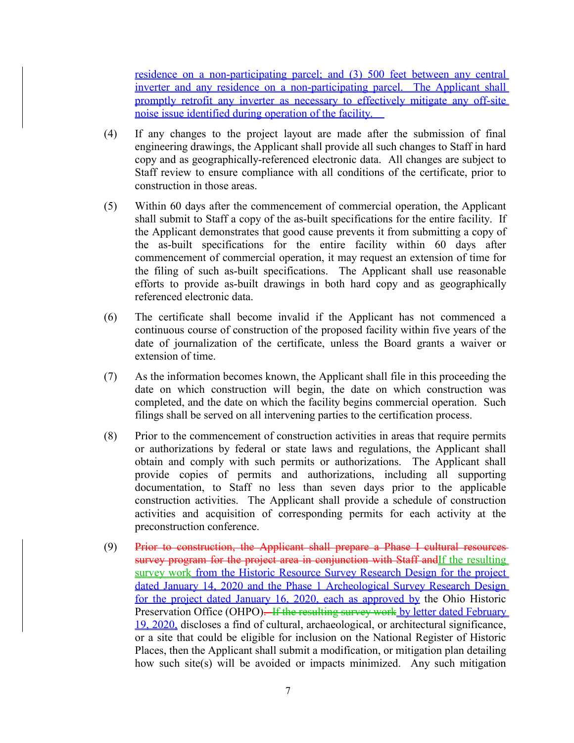residence on a non-participating parcel; and (3) 500 feet between any central inverter and any residence on a non-participating parcel. The Applicant shall promptly retrofit any inverter as necessary to effectively mitigate any off-site noise issue identified during operation of the facility.

- (4) If any changes to the project layout are made after the submission of final engineering drawings, the Applicant shall provide all such changes to Staff in hard copy and as geographically-referenced electronic data. All changes are subject to Staff review to ensure compliance with all conditions of the certificate, prior to construction in those areas.
- (5) Within 60 days after the commencement of commercial operation, the Applicant shall submit to Staff a copy of the as-built specifications for the entire facility. If the Applicant demonstrates that good cause prevents it from submitting a copy of the as-built specifications for the entire facility within 60 days after commencement of commercial operation, it may request an extension of time for the filing of such as-built specifications. The Applicant shall use reasonable efforts to provide as-built drawings in both hard copy and as geographically referenced electronic data.
- (6) The certificate shall become invalid if the Applicant has not commenced a continuous course of construction of the proposed facility within five years of the date of journalization of the certificate, unless the Board grants a waiver or extension of time.
- (7) As the information becomes known, the Applicant shall file in this proceeding the date on which construction will begin, the date on which construction was completed, and the date on which the facility begins commercial operation. Such filings shall be served on all intervening parties to the certification process.
- (8) Prior to the commencement of construction activities in areas that require permits or authorizations by federal or state laws and regulations, the Applicant shall obtain and comply with such permits or authorizations. The Applicant shall provide copies of permits and authorizations, including all supporting documentation, to Staff no less than seven days prior to the applicable construction activities. The Applicant shall provide a schedule of construction activities and acquisition of corresponding permits for each activity at the preconstruction conference.
- (9) Prior to construction, the Applicant shall prepare a Phase I cultural resources survey program for the project area in conjunction with Staff andIf the resulting survey work from the Historic Resource Survey Research Design for the project dated January 14, 2020 and the Phase 1 Archeological Survey Research Design for the project dated January 16, 2020, each as approved by the Ohio Historic Preservation Office (OHPO). If the resulting survey work by letter dated February 19, 2020, discloses a find of cultural, archaeological, or architectural significance, or a site that could be eligible for inclusion on the National Register of Historic Places, then the Applicant shall submit a modification, or mitigation plan detailing how such site(s) will be avoided or impacts minimized. Any such mitigation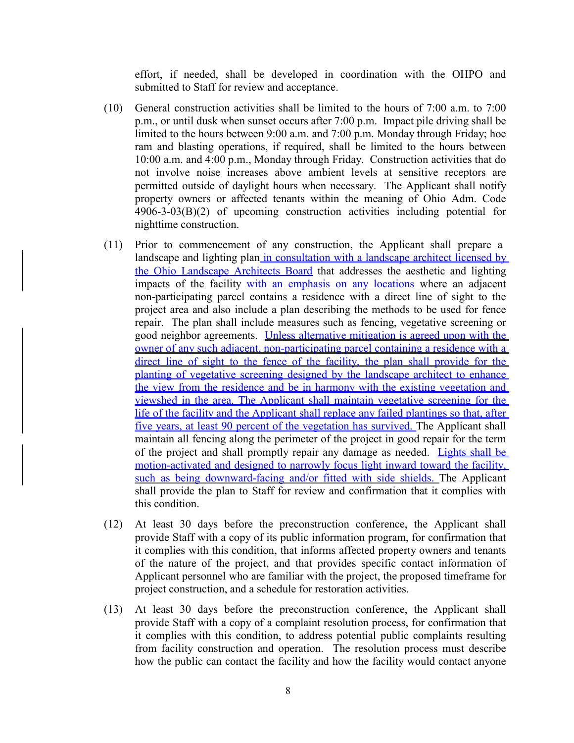effort, if needed, shall be developed in coordination with the OHPO and submitted to Staff for review and acceptance.

- (10) General construction activities shall be limited to the hours of 7:00 a.m. to 7:00 p.m., or until dusk when sunset occurs after 7:00 p.m. Impact pile driving shall be limited to the hours between 9:00 a.m. and 7:00 p.m. Monday through Friday; hoe ram and blasting operations, if required, shall be limited to the hours between 10:00 a.m. and 4:00 p.m., Monday through Friday. Construction activities that do not involve noise increases above ambient levels at sensitive receptors are permitted outside of daylight hours when necessary. The Applicant shall notify property owners or affected tenants within the meaning of Ohio Adm. Code 4906-3-03(B)(2) of upcoming construction activities including potential for nighttime construction.
- (11) Prior to commencement of any construction, the Applicant shall prepare a landscape and lighting plan in consultation with a landscape architect licensed by the Ohio Landscape Architects Board that addresses the aesthetic and lighting impacts of the facility with an emphasis on any locations where an adjacent non-participating parcel contains a residence with a direct line of sight to the project area and also include a plan describing the methods to be used for fence repair. The plan shall include measures such as fencing, vegetative screening or good neighbor agreements. Unless alternative mitigation is agreed upon with the owner of any such adjacent, non-participating parcel containing a residence with a direct line of sight to the fence of the facility, the plan shall provide for the planting of vegetative screening designed by the landscape architect to enhance the view from the residence and be in harmony with the existing vegetation and viewshed in the area. The Applicant shall maintain vegetative screening for the life of the facility and the Applicant shall replace any failed plantings so that, after five years, at least 90 percent of the vegetation has survived. The Applicant shall maintain all fencing along the perimeter of the project in good repair for the term of the project and shall promptly repair any damage as needed. Lights shall be motion-activated and designed to narrowly focus light inward toward the facility, such as being downward-facing and/or fitted with side shields. The Applicant shall provide the plan to Staff for review and confirmation that it complies with this condition.
- (12) At least 30 days before the preconstruction conference, the Applicant shall provide Staff with a copy of its public information program, for confirmation that it complies with this condition, that informs affected property owners and tenants of the nature of the project, and that provides specific contact information of Applicant personnel who are familiar with the project, the proposed timeframe for project construction, and a schedule for restoration activities.
- (13) At least 30 days before the preconstruction conference, the Applicant shall provide Staff with a copy of a complaint resolution process, for confirmation that it complies with this condition, to address potential public complaints resulting from facility construction and operation. The resolution process must describe how the public can contact the facility and how the facility would contact anyone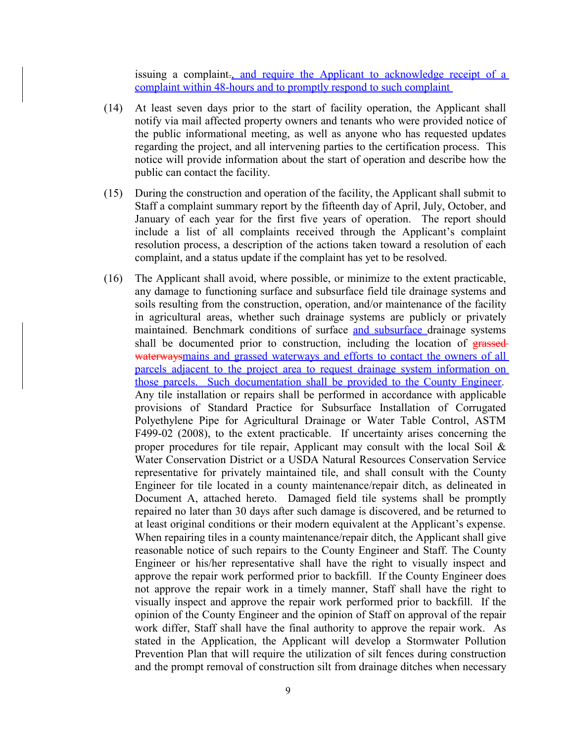issuing a complaint<sub>-</sub>, and require the Applicant to acknowledge receipt of a complaint within 48-hours and to promptly respond to such complaint

- (14) At least seven days prior to the start of facility operation, the Applicant shall notify via mail affected property owners and tenants who were provided notice of the public informational meeting, as well as anyone who has requested updates regarding the project, and all intervening parties to the certification process. This notice will provide information about the start of operation and describe how the public can contact the facility.
- (15) During the construction and operation of the facility, the Applicant shall submit to Staff a complaint summary report by the fifteenth day of April, July, October, and January of each year for the first five years of operation. The report should include a list of all complaints received through the Applicant's complaint resolution process, a description of the actions taken toward a resolution of each complaint, and a status update if the complaint has yet to be resolved.
- (16) The Applicant shall avoid, where possible, or minimize to the extent practicable, any damage to functioning surface and subsurface field tile drainage systems and soils resulting from the construction, operation, and/or maintenance of the facility in agricultural areas, whether such drainage systems are publicly or privately maintained. Benchmark conditions of surface and subsurface drainage systems shall be documented prior to construction, including the location of grassedwaterwaysmains and grassed waterways and efforts to contact the owners of all parcels adjacent to the project area to request drainage system information on those parcels. Such documentation shall be provided to the County Engineer. Any tile installation or repairs shall be performed in accordance with applicable provisions of Standard Practice for Subsurface Installation of Corrugated Polyethylene Pipe for Agricultural Drainage or Water Table Control, ASTM F499-02 (2008), to the extent practicable. If uncertainty arises concerning the proper procedures for tile repair, Applicant may consult with the local Soil & Water Conservation District or a USDA Natural Resources Conservation Service representative for privately maintained tile, and shall consult with the County Engineer for tile located in a county maintenance/repair ditch, as delineated in Document A, attached hereto. Damaged field tile systems shall be promptly repaired no later than 30 days after such damage is discovered, and be returned to at least original conditions or their modern equivalent at the Applicant's expense. When repairing tiles in a county maintenance/repair ditch, the Applicant shall give reasonable notice of such repairs to the County Engineer and Staff. The County Engineer or his/her representative shall have the right to visually inspect and approve the repair work performed prior to backfill. If the County Engineer does not approve the repair work in a timely manner, Staff shall have the right to visually inspect and approve the repair work performed prior to backfill. If the opinion of the County Engineer and the opinion of Staff on approval of the repair work differ, Staff shall have the final authority to approve the repair work. As stated in the Application, the Applicant will develop a Stormwater Pollution Prevention Plan that will require the utilization of silt fences during construction and the prompt removal of construction silt from drainage ditches when necessary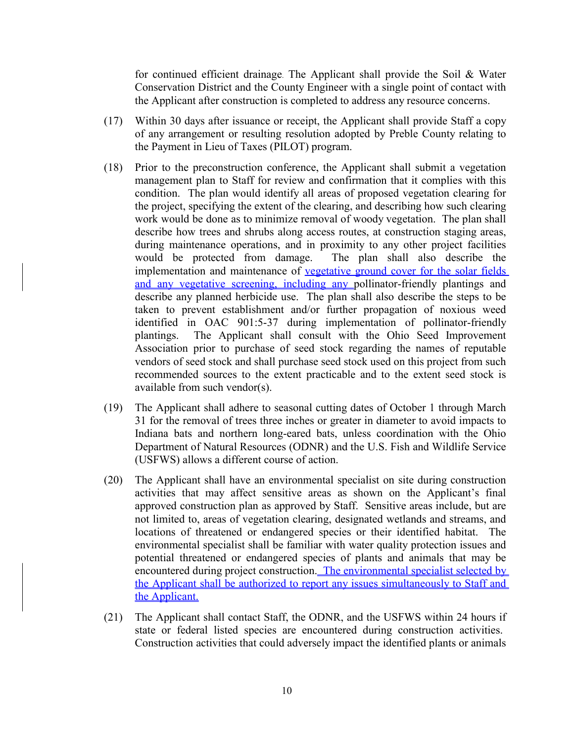for continued efficient drainage. The Applicant shall provide the Soil & Water Conservation District and the County Engineer with a single point of contact with the Applicant after construction is completed to address any resource concerns.

- (17) Within 30 days after issuance or receipt, the Applicant shall provide Staff a copy of any arrangement or resulting resolution adopted by Preble County relating to the Payment in Lieu of Taxes (PILOT) program.
- (18) Prior to the preconstruction conference, the Applicant shall submit a vegetation management plan to Staff for review and confirmation that it complies with this condition. The plan would identify all areas of proposed vegetation clearing for the project, specifying the extent of the clearing, and describing how such clearing work would be done as to minimize removal of woody vegetation. The plan shall describe how trees and shrubs along access routes, at construction staging areas, during maintenance operations, and in proximity to any other project facilities would be protected from damage. The plan shall also describe the implementation and maintenance of vegetative ground cover for the solar fields and any vegetative screening, including any pollinator-friendly plantings and describe any planned herbicide use. The plan shall also describe the steps to be taken to prevent establishment and/or further propagation of noxious weed identified in OAC 901:5-37 during implementation of pollinator-friendly plantings. The Applicant shall consult with the Ohio Seed Improvement Association prior to purchase of seed stock regarding the names of reputable vendors of seed stock and shall purchase seed stock used on this project from such recommended sources to the extent practicable and to the extent seed stock is available from such vendor(s).
- (19) The Applicant shall adhere to seasonal cutting dates of October 1 through March 31 for the removal of trees three inches or greater in diameter to avoid impacts to Indiana bats and northern long-eared bats, unless coordination with the Ohio Department of Natural Resources (ODNR) and the U.S. Fish and Wildlife Service (USFWS) allows a different course of action.
- (20) The Applicant shall have an environmental specialist on site during construction activities that may affect sensitive areas as shown on the Applicant's final approved construction plan as approved by Staff. Sensitive areas include, but are not limited to, areas of vegetation clearing, designated wetlands and streams, and locations of threatened or endangered species or their identified habitat. The environmental specialist shall be familiar with water quality protection issues and potential threatened or endangered species of plants and animals that may be encountered during project construction. The environmental specialist selected by the Applicant shall be authorized to report any issues simultaneously to Staff and the Applicant.
- (21) The Applicant shall contact Staff, the ODNR, and the USFWS within 24 hours if state or federal listed species are encountered during construction activities. Construction activities that could adversely impact the identified plants or animals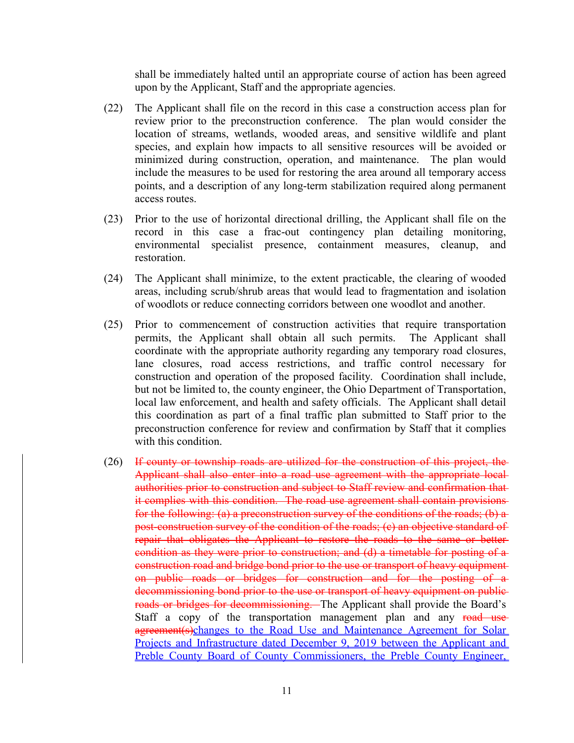shall be immediately halted until an appropriate course of action has been agreed upon by the Applicant, Staff and the appropriate agencies.

- (22) The Applicant shall file on the record in this case a construction access plan for review prior to the preconstruction conference. The plan would consider the location of streams, wetlands, wooded areas, and sensitive wildlife and plant species, and explain how impacts to all sensitive resources will be avoided or minimized during construction, operation, and maintenance. The plan would include the measures to be used for restoring the area around all temporary access points, and a description of any long-term stabilization required along permanent access routes.
- (23) Prior to the use of horizontal directional drilling, the Applicant shall file on the record in this case a frac-out contingency plan detailing monitoring, environmental specialist presence, containment measures, cleanup, and restoration.
- (24) The Applicant shall minimize, to the extent practicable, the clearing of wooded areas, including scrub/shrub areas that would lead to fragmentation and isolation of woodlots or reduce connecting corridors between one woodlot and another.
- (25) Prior to commencement of construction activities that require transportation permits, the Applicant shall obtain all such permits. The Applicant shall coordinate with the appropriate authority regarding any temporary road closures, lane closures, road access restrictions, and traffic control necessary for construction and operation of the proposed facility. Coordination shall include, but not be limited to, the county engineer, the Ohio Department of Transportation, local law enforcement, and health and safety officials. The Applicant shall detail this coordination as part of a final traffic plan submitted to Staff prior to the preconstruction conference for review and confirmation by Staff that it complies with this condition.
- (26) If county or township roads are utilized for the construction of this project, the Applicant shall also enter into a road use agreement with the appropriate local authorities prior to construction and subject to Staff review and confirmation that it complies with this condition. The road use agreement shall contain provisions for the following: (a) a preconstruction survey of the conditions of the roads; (b) a post-construction survey of the condition of the roads; (c) an objective standard of repair that obligates the Applicant to restore the roads to the same or better condition as they were prior to construction; and (d) a timetable for posting of a construction road and bridge bond prior to the use or transport of heavy equipment on public roads or bridges for construction and for the posting of a decommissioning bond prior to the use or transport of heavy equipment on publicroads or bridges for decommissioning. The Applicant shall provide the Board's Staff a copy of the transportation management plan and any road use agreement(s)changes to the Road Use and Maintenance Agreement for Solar Projects and Infrastructure dated December 9, 2019 between the Applicant and Preble County Board of County Commissioners, the Preble County Engineer,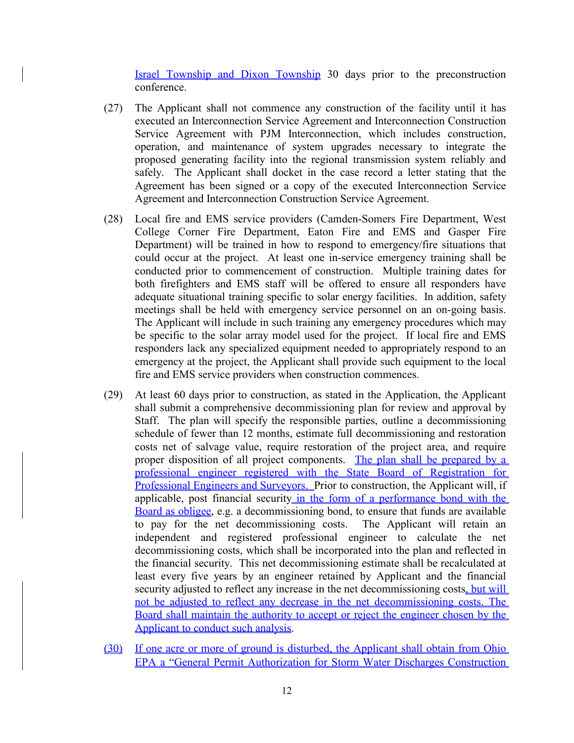**Israel Township and Dixon Township 30 days prior to the preconstruction** conference.

- (27) The Applicant shall not commence any construction of the facility until it has executed an Interconnection Service Agreement and Interconnection Construction Service Agreement with PJM Interconnection, which includes construction, operation, and maintenance of system upgrades necessary to integrate the proposed generating facility into the regional transmission system reliably and safely. The Applicant shall docket in the case record a letter stating that the Agreement has been signed or a copy of the executed Interconnection Service Agreement and Interconnection Construction Service Agreement.
- (28) Local fire and EMS service providers (Camden-Somers Fire Department, West College Corner Fire Department, Eaton Fire and EMS and Gasper Fire Department) will be trained in how to respond to emergency/fire situations that could occur at the project. At least one in-service emergency training shall be conducted prior to commencement of construction. Multiple training dates for both firefighters and EMS staff will be offered to ensure all responders have adequate situational training specific to solar energy facilities. In addition, safety meetings shall be held with emergency service personnel on an on-going basis. The Applicant will include in such training any emergency procedures which may be specific to the solar array model used for the project. If local fire and EMS responders lack any specialized equipment needed to appropriately respond to an emergency at the project, the Applicant shall provide such equipment to the local fire and EMS service providers when construction commences.
- (29) At least 60 days prior to construction, as stated in the Application, the Applicant shall submit a comprehensive decommissioning plan for review and approval by Staff. The plan will specify the responsible parties, outline a decommissioning schedule of fewer than 12 months, estimate full decommissioning and restoration costs net of salvage value, require restoration of the project area, and require proper disposition of all project components. The plan shall be prepared by a professional engineer registered with the State Board of Registration for Professional Engineers and Surveyors. Prior to construction, the Applicant will, if applicable, post financial security in the form of a performance bond with the Board as obligee, e.g. a decommissioning bond, to ensure that funds are available to pay for the net decommissioning costs. The Applicant will retain an independent and registered professional engineer to calculate the net decommissioning costs, which shall be incorporated into the plan and reflected in the financial security. This net decommissioning estimate shall be recalculated at least every five years by an engineer retained by Applicant and the financial security adjusted to reflect any increase in the net decommissioning costs, but will not be adjusted to reflect any decrease in the net decommissioning costs. The Board shall maintain the authority to accept or reject the engineer chosen by the Applicant to conduct such analysis.
- (30) If one acre or more of ground is disturbed, the Applicant shall obtain from Ohio EPA a "General Permit Authorization for Storm Water Discharges Construction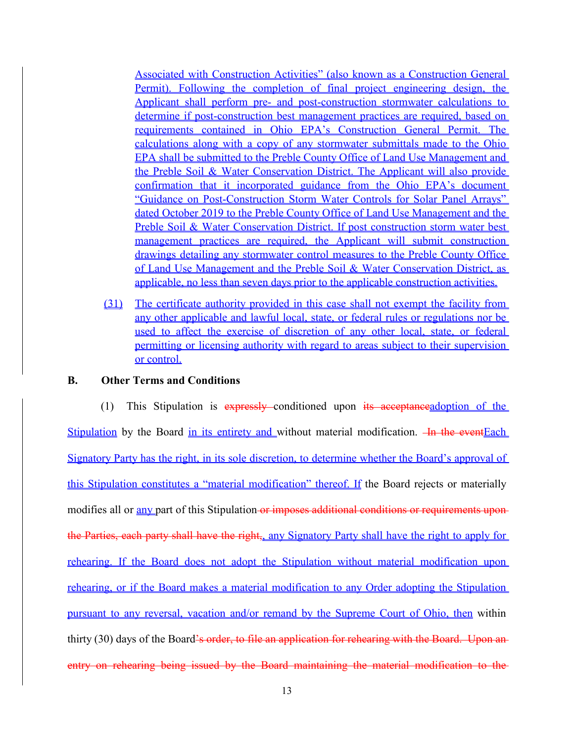Associated with Construction Activities" (also known as a Construction General Permit). Following the completion of final project engineering design, the Applicant shall perform pre- and post-construction stormwater calculations to determine if post-construction best management practices are required, based on requirements contained in Ohio EPA's Construction General Permit. The calculations along with a copy of any stormwater submittals made to the Ohio EPA shall be submitted to the Preble County Office of Land Use Management and the Preble Soil & Water Conservation District. The Applicant will also provide confirmation that it incorporated guidance from the Ohio EPA's document "Guidance on Post-Construction Storm Water Controls for Solar Panel Arrays" dated October 2019 to the Preble County Office of Land Use Management and the Preble Soil & Water Conservation District. If post construction storm water best management practices are required, the Applicant will submit construction drawings detailing any stormwater control measures to the Preble County Office of Land Use Management and the Preble Soil & Water Conservation District, as applicable, no less than seven days prior to the applicable construction activities.

(31) The certificate authority provided in this case shall not exempt the facility from any other applicable and lawful local, state, or federal rules or regulations nor be used to affect the exercise of discretion of any other local, state, or federal permitting or licensing authority with regard to areas subject to their supervision or control.

# **B. Other Terms and Conditions**

(1) This Stipulation is  $\frac{1}{2}$  expressly conditioned upon  $\frac{1}{2}$  acceptane example of the Stipulation by the Board in its entirety and without material modification.  $-\mathbf{In}$  the eventEach Signatory Party has the right, in its sole discretion, to determine whether the Board's approval of this Stipulation constitutes a "material modification" thereof. If the Board rejects or materially modifies all or any part of this Stipulation or imposes additional conditions or requirements upon the Parties, each party shall have the right, any Signatory Party shall have the right to apply for rehearing. If the Board does not adopt the Stipulation without material modification upon rehearing, or if the Board makes a material modification to any Order adopting the Stipulation pursuant to any reversal, vacation and/or remand by the Supreme Court of Ohio, then within thirty (30) days of the Board's order, to file an application for rehearing with the Board. Upon an entry on rehearing being issued by the Board maintaining the material modification to the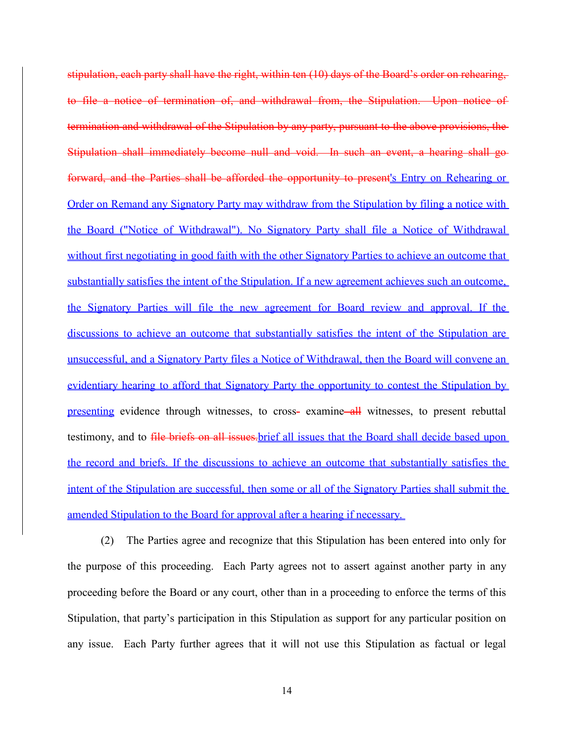stipulation, each party shall have the right, within ten (10) days of the Board's order on rehearing, to file a notice of termination of, and withdrawal from, the Stipulation. Upon notice of termination and withdrawal of the Stipulation by any party, pursuant to the above provisions, the Stipulation shall immediately become null and void. In such an event, a hearing shall go forward, and the Parties shall be afforded the opportunity to present's Entry on Rehearing or Order on Remand any Signatory Party may withdraw from the Stipulation by filing a notice with the Board ("Notice of Withdrawal"). No Signatory Party shall file a Notice of Withdrawal without first negotiating in good faith with the other Signatory Parties to achieve an outcome that substantially satisfies the intent of the Stipulation. If a new agreement achieves such an outcome, the Signatory Parties will file the new agreement for Board review and approval. If the discussions to achieve an outcome that substantially satisfies the intent of the Stipulation are unsuccessful, and a Signatory Party files a Notice of Withdrawal, then the Board will convene an evidentiary hearing to afford that Signatory Party the opportunity to contest the Stipulation by presenting evidence through witnesses, to cross- examine all witnesses, to present rebuttal testimony, and to file briefs on all issues brief all issues that the Board shall decide based upon the record and briefs. If the discussions to achieve an outcome that substantially satisfies the intent of the Stipulation are successful, then some or all of the Signatory Parties shall submit the amended Stipulation to the Board for approval after a hearing if necessary.

(2) The Parties agree and recognize that this Stipulation has been entered into only for the purpose of this proceeding. Each Party agrees not to assert against another party in any proceeding before the Board or any court, other than in a proceeding to enforce the terms of this Stipulation, that party's participation in this Stipulation as support for any particular position on any issue. Each Party further agrees that it will not use this Stipulation as factual or legal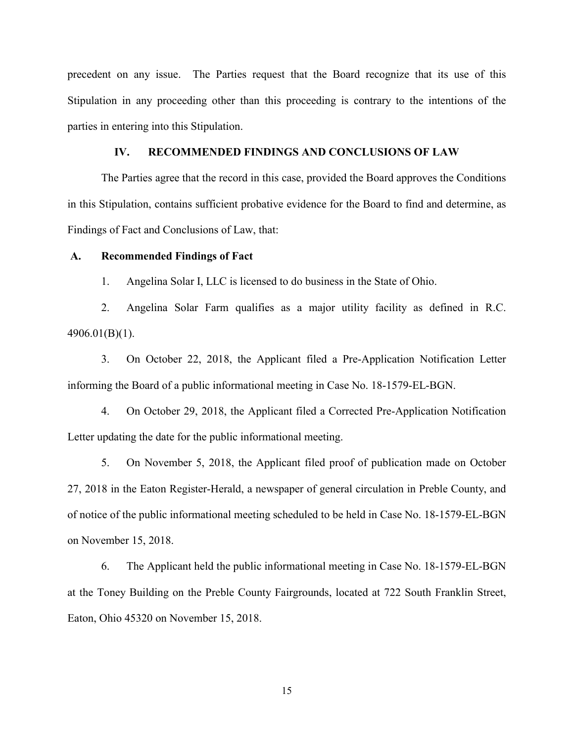precedent on any issue. The Parties request that the Board recognize that its use of this Stipulation in any proceeding other than this proceeding is contrary to the intentions of the parties in entering into this Stipulation.

# **IV. RECOMMENDED FINDINGS AND CONCLUSIONS OF LAW**

The Parties agree that the record in this case, provided the Board approves the Conditions in this Stipulation, contains sufficient probative evidence for the Board to find and determine, as Findings of Fact and Conclusions of Law, that:

### **A. Recommended Findings of Fact**

1. Angelina Solar I, LLC is licensed to do business in the State of Ohio.

2. Angelina Solar Farm qualifies as a major utility facility as defined in R.C. 4906.01(B)(1).

3. On October 22, 2018, the Applicant filed a Pre-Application Notification Letter informing the Board of a public informational meeting in Case No. 18-1579-EL-BGN.

4. On October 29, 2018, the Applicant filed a Corrected Pre-Application Notification Letter updating the date for the public informational meeting.

5. On November 5, 2018, the Applicant filed proof of publication made on October 27, 2018 in the Eaton Register-Herald, a newspaper of general circulation in Preble County, and of notice of the public informational meeting scheduled to be held in Case No. 18-1579-EL-BGN on November 15, 2018.

6. The Applicant held the public informational meeting in Case No. 18-1579-EL-BGN at the Toney Building on the Preble County Fairgrounds, located at 722 South Franklin Street, Eaton, Ohio 45320 on November 15, 2018.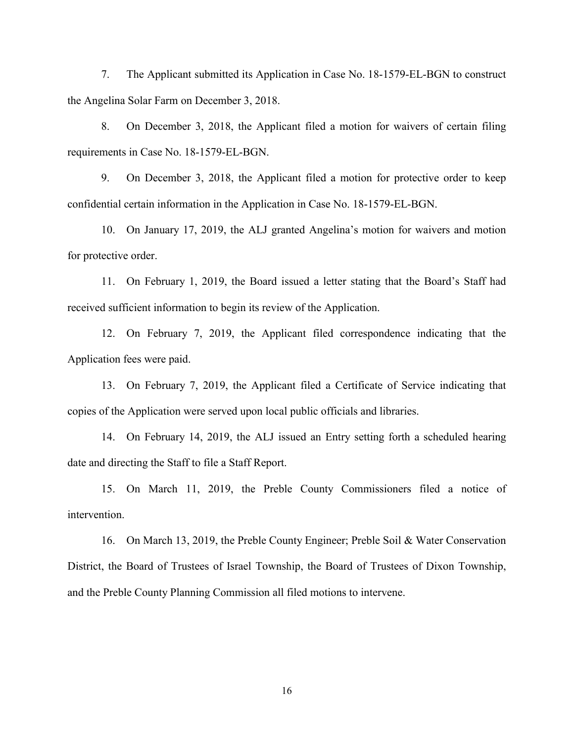7. The Applicant submitted its Application in Case No. 18-1579-EL-BGN to construct the Angelina Solar Farm on December 3, 2018.

8. On December 3, 2018, the Applicant filed a motion for waivers of certain filing requirements in Case No. 18-1579-EL-BGN.

9. On December 3, 2018, the Applicant filed a motion for protective order to keep confidential certain information in the Application in Case No. 18-1579-EL-BGN.

10. On January 17, 2019, the ALJ granted Angelina's motion for waivers and motion for protective order.

11. On February 1, 2019, the Board issued a letter stating that the Board's Staff had received sufficient information to begin its review of the Application.

12. On February 7, 2019, the Applicant filed correspondence indicating that the Application fees were paid.

13. On February 7, 2019, the Applicant filed a Certificate of Service indicating that copies of the Application were served upon local public officials and libraries.

14. On February 14, 2019, the ALJ issued an Entry setting forth a scheduled hearing date and directing the Staff to file a Staff Report.

15. On March 11, 2019, the Preble County Commissioners filed a notice of intervention.

16. On March 13, 2019, the Preble County Engineer; Preble Soil & Water Conservation District, the Board of Trustees of Israel Township, the Board of Trustees of Dixon Township, and the Preble County Planning Commission all filed motions to intervene.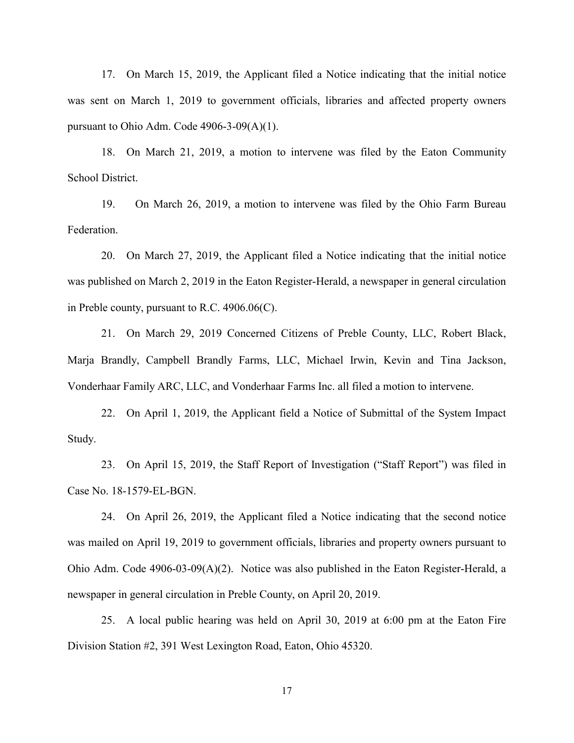17. On March 15, 2019, the Applicant filed a Notice indicating that the initial notice was sent on March 1, 2019 to government officials, libraries and affected property owners pursuant to Ohio Adm. Code 4906-3-09(A)(1).

18. On March 21, 2019, a motion to intervene was filed by the Eaton Community School District.

19. On March 26, 2019, a motion to intervene was filed by the Ohio Farm Bureau Federation.

20. On March 27, 2019, the Applicant filed a Notice indicating that the initial notice was published on March 2, 2019 in the Eaton Register-Herald, a newspaper in general circulation in Preble county, pursuant to R.C. 4906.06(C).

21. On March 29, 2019 Concerned Citizens of Preble County, LLC, Robert Black, Marja Brandly, Campbell Brandly Farms, LLC, Michael Irwin, Kevin and Tina Jackson, Vonderhaar Family ARC, LLC, and Vonderhaar Farms Inc. all filed a motion to intervene.

22. On April 1, 2019, the Applicant field a Notice of Submittal of the System Impact Study.

23. On April 15, 2019, the Staff Report of Investigation ("Staff Report") was filed in Case No. 18-1579-EL-BGN.

24. On April 26, 2019, the Applicant filed a Notice indicating that the second notice was mailed on April 19, 2019 to government officials, libraries and property owners pursuant to Ohio Adm. Code 4906-03-09(A)(2). Notice was also published in the Eaton Register-Herald, a newspaper in general circulation in Preble County, on April 20, 2019.

25. A local public hearing was held on April 30, 2019 at 6:00 pm at the Eaton Fire Division Station #2, 391 West Lexington Road, Eaton, Ohio 45320.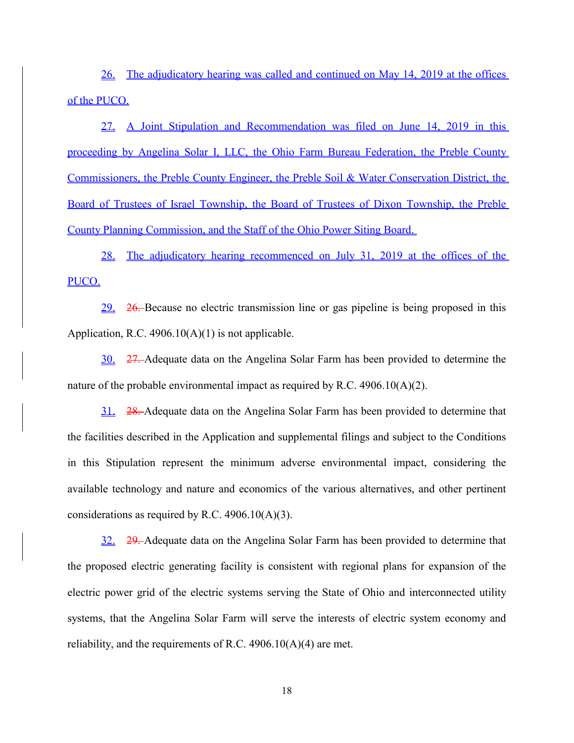26. The adjudicatory hearing was called and continued on May 14, 2019 at the offices of the PUCO.

27. A Joint Stipulation and Recommendation was filed on June 14, 2019 in this proceeding by Angelina Solar I, LLC, the Ohio Farm Bureau Federation, the Preble County Commissioners, the Preble County Engineer, the Preble Soil & Water Conservation District, the Board of Trustees of Israel Township, the Board of Trustees of Dixon Township, the Preble County Planning Commission, and the Staff of the Ohio Power Siting Board.

28. The adjudicatory hearing recommenced on July 31, 2019 at the offices of the PUCO.

29. 26. Because no electric transmission line or gas pipeline is being proposed in this Application, R.C. 4906.10(A)(1) is not applicable.

30. 27. Adequate data on the Angelina Solar Farm has been provided to determine the nature of the probable environmental impact as required by R.C.  $4906.10(A)(2)$ .

31. 28. Adequate data on the Angelina Solar Farm has been provided to determine that the facilities described in the Application and supplemental filings and subject to the Conditions in this Stipulation represent the minimum adverse environmental impact, considering the available technology and nature and economics of the various alternatives, and other pertinent considerations as required by R.C. 4906.10(A)(3).

32. 29. Adequate data on the Angelina Solar Farm has been provided to determine that the proposed electric generating facility is consistent with regional plans for expansion of the electric power grid of the electric systems serving the State of Ohio and interconnected utility systems, that the Angelina Solar Farm will serve the interests of electric system economy and reliability, and the requirements of R.C.  $4906.10(A)(4)$  are met.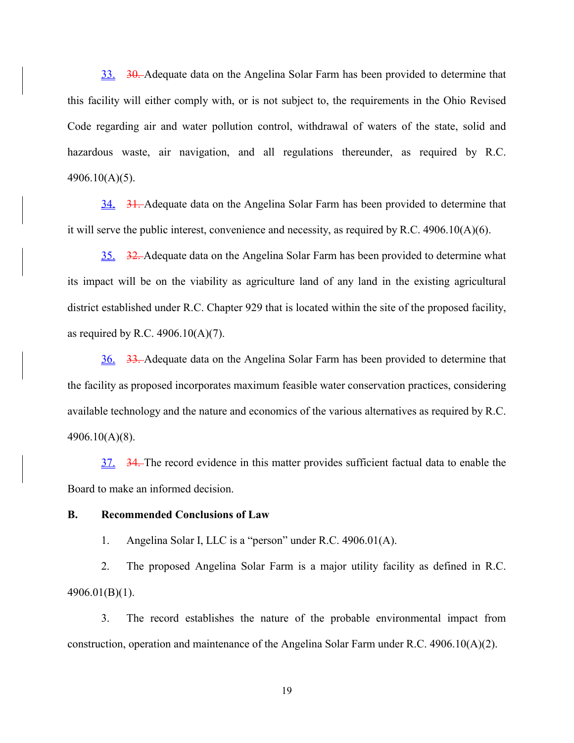33. 30. Adequate data on the Angelina Solar Farm has been provided to determine that this facility will either comply with, or is not subject to, the requirements in the Ohio Revised Code regarding air and water pollution control, withdrawal of waters of the state, solid and hazardous waste, air navigation, and all regulations thereunder, as required by R.C. 4906.10(A)(5).

34. 31. Adequate data on the Angelina Solar Farm has been provided to determine that it will serve the public interest, convenience and necessity, as required by R.C. 4906.10(A)(6).

35. 32. Adequate data on the Angelina Solar Farm has been provided to determine what its impact will be on the viability as agriculture land of any land in the existing agricultural district established under R.C. Chapter 929 that is located within the site of the proposed facility, as required by R.C.  $4906.10(A)(7)$ .

36. 33. Adequate data on the Angelina Solar Farm has been provided to determine that the facility as proposed incorporates maximum feasible water conservation practices, considering available technology and the nature and economics of the various alternatives as required by R.C. 4906.10(A)(8).

37. 34. The record evidence in this matter provides sufficient factual data to enable the Board to make an informed decision.

### **B. Recommended Conclusions of Law**

1. Angelina Solar I, LLC is a "person" under R.C. 4906.01(A).

2. The proposed Angelina Solar Farm is a major utility facility as defined in R.C. 4906.01(B)(1).

3. The record establishes the nature of the probable environmental impact from construction, operation and maintenance of the Angelina Solar Farm under R.C. 4906.10(A)(2).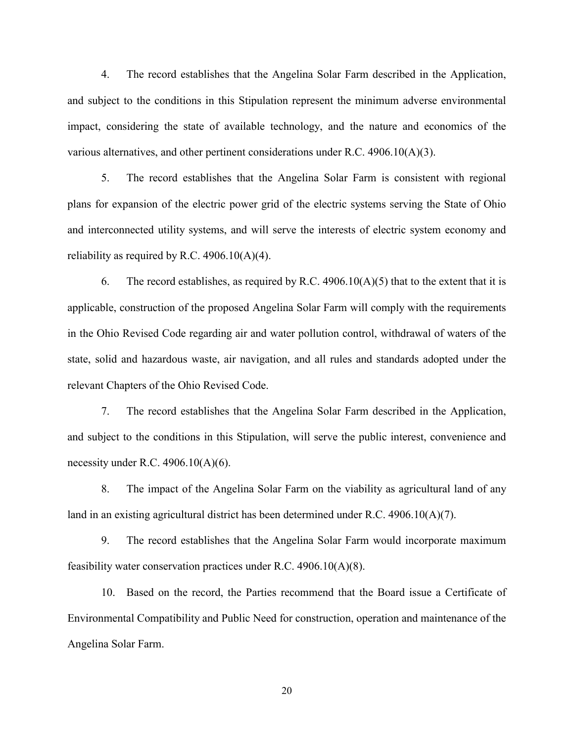4. The record establishes that the Angelina Solar Farm described in the Application, and subject to the conditions in this Stipulation represent the minimum adverse environmental impact, considering the state of available technology, and the nature and economics of the various alternatives, and other pertinent considerations under R.C. 4906.10(A)(3).

5. The record establishes that the Angelina Solar Farm is consistent with regional plans for expansion of the electric power grid of the electric systems serving the State of Ohio and interconnected utility systems, and will serve the interests of electric system economy and reliability as required by R.C.  $4906.10(A)(4)$ .

6. The record establishes, as required by R.C. 4906.10(A)(5) that to the extent that it is applicable, construction of the proposed Angelina Solar Farm will comply with the requirements in the Ohio Revised Code regarding air and water pollution control, withdrawal of waters of the state, solid and hazardous waste, air navigation, and all rules and standards adopted under the relevant Chapters of the Ohio Revised Code.

7. The record establishes that the Angelina Solar Farm described in the Application, and subject to the conditions in this Stipulation, will serve the public interest, convenience and necessity under R.C.  $4906.10(A)(6)$ .

8. The impact of the Angelina Solar Farm on the viability as agricultural land of any land in an existing agricultural district has been determined under R.C. 4906.10(A)(7).

9. The record establishes that the Angelina Solar Farm would incorporate maximum feasibility water conservation practices under R.C. 4906.10(A)(8).

10. Based on the record, the Parties recommend that the Board issue a Certificate of Environmental Compatibility and Public Need for construction, operation and maintenance of the Angelina Solar Farm.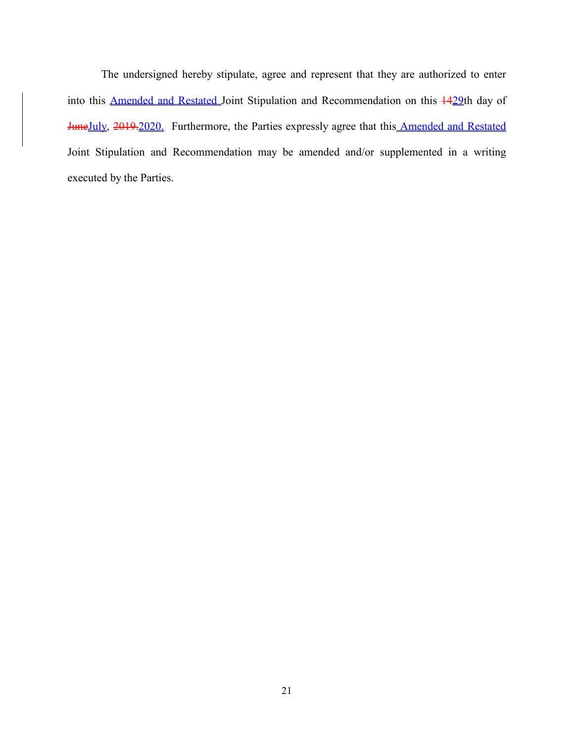The undersigned hereby stipulate, agree and represent that they are authorized to enter into this **Amended and Restated** Joint Stipulation and Recommendation on this  $\frac{1429}{10}$ th day of JuneJuly, 2019.2020. Furthermore, the Parties expressly agree that this Amended and Restated Joint Stipulation and Recommendation may be amended and/or supplemented in a writing executed by the Parties.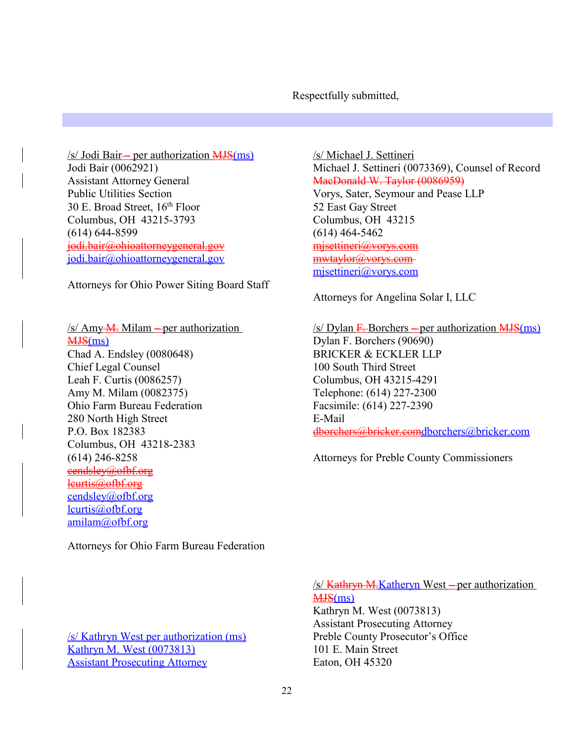Respectfully submitted,

 $/s$  Jodi Bair— per authorization  $MJS(ms)$ Jodi Bair (0062921) Assistant Attorney General Public Utilities Section 30 E. Broad Street, 16th Floor Columbus, OH 43215-3793 (614) 644-8599 jodi.bair@ohioattorneygeneral.gov jodi.bair@ohioattorneygeneral.gov

Attorneys for Ohio Power Siting Board Staff

 $/s/$  Amy  $M$ . Milam – per authorization MJS(ms) Chad A. Endsley (0080648) Chief Legal Counsel Leah F. Curtis (0086257) Amy M. Milam (0082375) Ohio Farm Bureau Federation 280 North High Street P.O. Box 182383 Columbus, OH 43218-2383 (614) 246-8258 eendsley@ofbf.org lcurtis@ofbf.org cendsley@ofbf.org lcurtis@ofbf.org amilam@ofbf.org

Attorneys for Ohio Farm Bureau Federation

/s/ Kathryn West per authorization (ms) Kathryn M. West (0073813) **Assistant Prosecuting Attorney** 

/s/ Michael J. Settineri Michael J. Settineri (0073369), Counsel of Record MacDonald W. Taylor (0086959)

Vorys, Sater, Seymour and Pease LLP 52 East Gay Street Columbus, OH 43215 (614) 464-5462 mjsettineri@vorys.com mwtaylor@vorys.com mjsettineri@vorys.com

Attorneys for Angelina Solar I, LLC

 $/s$  Dylan F. Borchers – per authorization  $MJS(ms)$ Dylan F. Borchers (90690) BRICKER & ECKLER LLP 100 South Third Street Columbus, OH 43215-4291 Telephone: (614) 227-2300 Facsimile: (614) 227-2390 E-Mail dborchers@bricker.comdborchers@bricker.com

Attorneys for Preble County Commissioners

/s/ Kathryn M.Katheryn West – per authorization MJS(ms)

Kathryn M. West (0073813) Assistant Prosecuting Attorney Preble County Prosecutor's Office 101 E. Main Street Eaton, OH 45320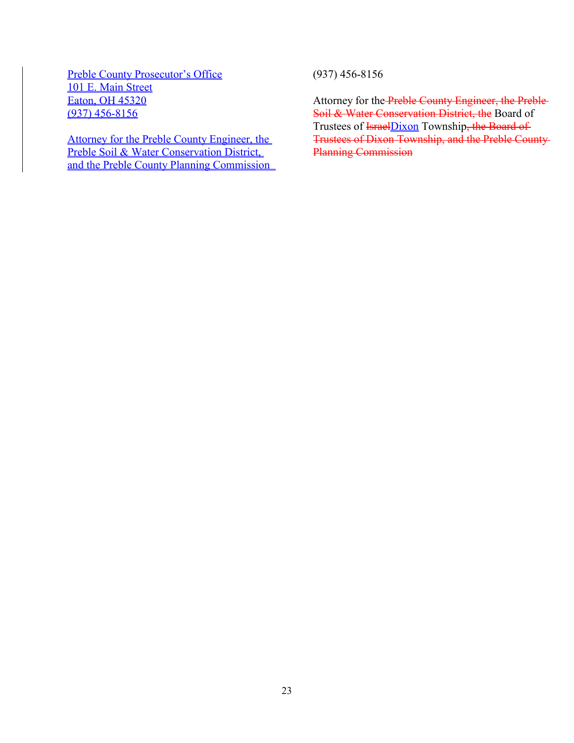Preble County Prosecutor's Office 101 E. Main Street Eaton, OH 45320 (937) 456-8156

Attorney for the Preble County Engineer, the Preble Soil & Water Conservation District, and the Preble County Planning Commission (937) 456-8156

Attorney for the Preble County Engineer, the Preble Soil & Water Conservation District, the Board of Trustees of <del>IsraelDixon</del> Township<del>, the Board of</del> Trustees of Dixon Township, and the Preble County Planning Commission